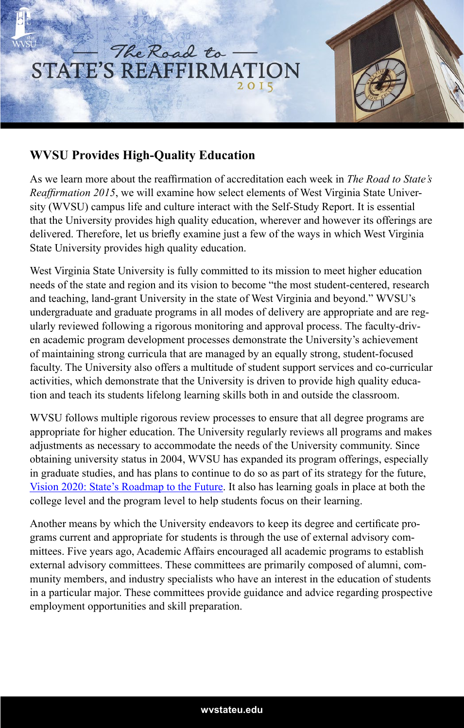

## **WVSU Provides High-Quality Education**

As we learn more about the reaffirmation of accreditation each week in *The Road to State's Reaffirmation 2015*, we will examine how select elements of West Virginia State University (WVSU) campus life and culture interact with the Self-Study Report. It is essential that the University provides high quality education, wherever and however its offerings are delivered. Therefore, let us briefly examine just a few of the ways in which West Virginia State University provides high quality education.

West Virginia State University is fully committed to its mission to meet higher education needs of the state and region and its vision to become "the most student-centered, research and teaching, land-grant University in the state of West Virginia and beyond." WVSU's undergraduate and graduate programs in all modes of delivery are appropriate and are regularly reviewed following a rigorous monitoring and approval process. The faculty-driven academic program development processes demonstrate the University's achievement of maintaining strong curricula that are managed by an equally strong, student-focused faculty. The University also offers a multitude of student support services and co-curricular activities, which demonstrate that the University is driven to provide high quality education and teach its students lifelong learning skills both in and outside the classroom.

WVSU follows multiple rigorous review processes to ensure that all degree programs are appropriate for higher education. The University regularly reviews all programs and makes adjustments as necessary to accommodate the needs of the University community. Since obtaining university status in 2004, WVSU has expanded its program offerings, especially in graduate studies, and has plans to continue to do so as part of its strategy for the future, Vision 2020: State's Roadmap to the Future. It also has learning goals in place at both the college level and the program level to help students focus on their learning.

Another means by which the University endeavors to keep its degree and certificate programs current and appropriate for students is through the use of external advisory committees. Five years ago, Academic Affairs encouraged all academic programs to establish external advisory committees. These committees are primarily composed of alumni, community members, and industry specialists who have an interest in the education of students in a particular major. These committees provide guidance and advice regarding prospective employment opportunities and skill preparation.